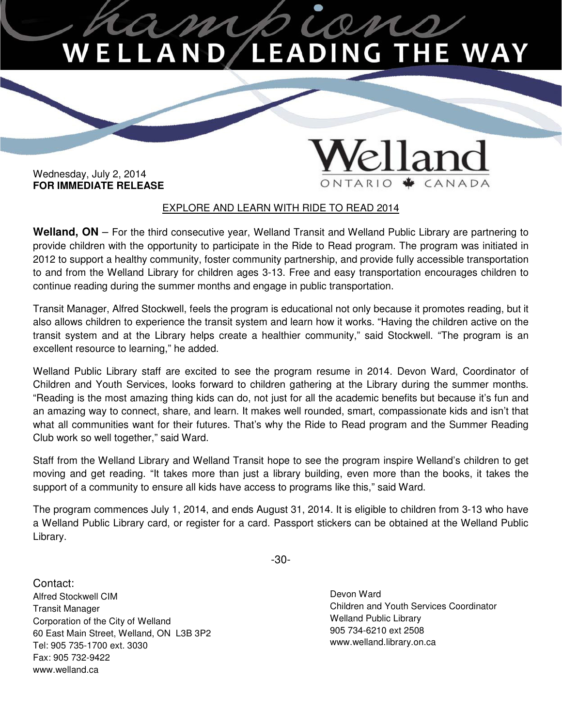## on D/LEADING THE WAY .AN

 Wednesday, July 2, 2014  **FOR IMMEDIATE RELEASE**

## EXPLORE AND LEARN WITH RIDE TO READ 2014

 **Welland, ON** – For the third consecutive year, Welland Transit and Welland Public Library are partnering to provide children with the opportunity to participate in the Ride to Read program. The program was initiated in 2012 to support a healthy community, foster community partnership, and provide fully accessible transportation to and from the Welland Library for children ages 3-13. Free and easy transportation encourages children to continue reading during the summer months and engage in public transportation.

 Transit Manager, Alfred Stockwell, feels the program is educational not only because it promotes reading, but it also allows children to experience the transit system and learn how it works. "Having the children active on the transit system and at the Library helps create a healthier community," said Stockwell. "The program is an excellent resource to learning," he added.

 Welland Public Library staff are excited to see the program resume in 2014. Devon Ward, Coordinator of Children and Youth Services, looks forward to children gathering at the Library during the summer months. "Reading is the most amazing thing kids can do, not just for all the academic benefits but because it's fun and an amazing way to connect, share, and learn. It makes well rounded, smart, compassionate kids and isn't that what all communities want for their futures. That's why the Ride to Read program and the Summer Reading Club work so well together," said Ward.

 Staff from the Welland Library and Welland Transit hope to see the program inspire Welland's children to get moving and get reading. "It takes more than just a library building, even more than the books, it takes the support of a community to ensure all kids have access to programs like this," said Ward.

 The program commences July 1, 2014, and ends August 31, 2014. It is eligible to children from 3-13 who have a Welland Public Library card, or register for a card. Passport stickers can be obtained at the Welland Public Library.

-30-

 Contact: Alfred Stockwell CIM **Devon Ward** Corporation of the City of Welland Nelland Nelland Public Library 905 734-6210 ext 2508 60 East Main Street, Welland, ON L3B 3P2 www.welland.library.on.ca Tel: 905 735-1700 ext. 3030 Fax: 905 732-9422 Children and Youth Services Coordinator Transit Manager www.welland.ca

Devon Ward **Welland Public Library** 905 734-6210 ext 2508

elland

ONTARIO + CANADA